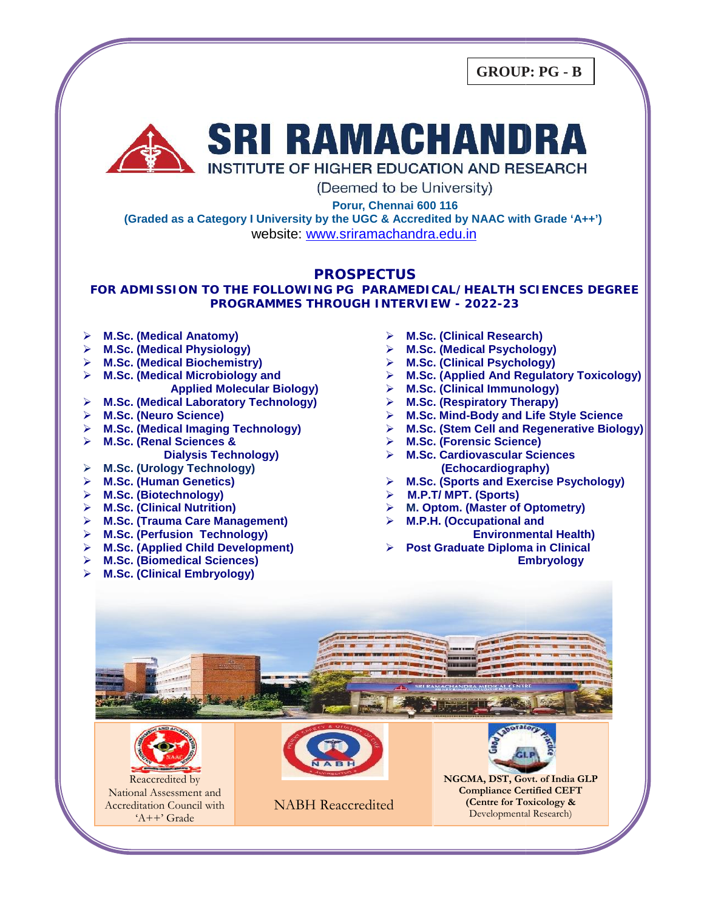**GROUP: PG - B**



(Deemed to be University)

**Porur, Chennai 600 116**

Porur, Chennai 600 116<br>(Graded as a Category I University by the UGC & Accredited by NAAC with Grade ʿA++**ʾ)** website: www.sriramachandra.edu.in

#### **PROSPECTUS**

**FOR ADMISSION TO THE FOLLOWING PG PARAMEDICAL/HEALTH SCIENCES DEGREE FORTHE PROGRAMMES THROUGH INTERVIEW - 2022-23**

- **M.Sc. (Medical Anatomy)**
- **M.Sc. (Medical Physiology)**
- **M.Sc. (Medical Biochemistry)**
- **M.Sc. (Medical Microbiology and**
- **Applied Molecular Biology) Microbiology Applied**
- **M.Sc. (Medical Laboratory Technology)**
- **M.Sc. (Neuro Science)**
- **M.Sc. (Medical Imaging Technology)**
- **M.Sc. (Renal Sciences &**
	- **Dialysis Technology)**
- **M.Sc. (Urology Technology)**
- **M.Sc. (Human Genetics)**
- **M.Sc. (Biotechnology)**
- **M.Sc. (Clinical Nutrition)**
- Dialysis Technology)<br> **▷ M.Sc. (Urology Technology)**<br> **▷ M.Sc. (Biotechnology)**<br> **▷ M.Sc. (Clinical Nutrition)**<br> **▷ M.Sc. (Trauma Care Management)**
- **M.Sc. (Perfusion Technology)**
- **M.Sc. (Applied Child Development)**
- **M.Sc. (Biomedical Sciences)**
- **M.Sc. (Clinical Embryology)**
- **M.Sc. (Clinical Research)**
- **M.Sc. (Medical Psychology)**
- **M.Sc. (Clinical Psychology)**
- **M.Sc. (Applied And Regulatory Toxicology)**
- **M.Sc. (Clinical Immunology)**
- **M.Sc. (Respiratory Therapy)**
- **M.Sc. Mind-Body and Life Style Science**
- **M.Sc. (Stem Cell and Regenerative Biology)**
- **M.Sc. (Forensic Science)**
- **M.Sc. Cardiovascular Sciences (Echocardiography)** (Medical Physiology)<br>
(Medical Biochemistry)<br>
(Medical Biochemistry)<br>
(Medical Microbiology) and<br>
Applied Molecular Biology)<br>
A M.Sc. (Chinical Immunology)<br>
(Medical Laboratory Technology)<br>
(Medical Laboratory Technology)
	- **M.Sc. (Sports and Exercise Psychology)**
	- **M.P.T/ MPT. (Sports)**
	- **M. Optom. (Master of Optometry)**
	- **M.P.H. (Occupational and**

**Environmental Health)**

 **Post Graduate Diploma in Clinical Embryology** M.Sc. (Clinical Psychology)<br>
M.Sc. (Applied And Regulatory Toxicolo<br>
M.Sc. (Clinical Immunology)<br>
M.Sc. (Respiratory Therapy)<br>
M.Sc. (Stem Cell and Regenerative Biolo<br>
M.Sc. (Forensic Science)<br>
M.Sc. (Forensic Science)<br>
M.





National Assessment and National Assessment and<br>Accreditation Council with 'A++' Grade

NABH Reaccredited



**(Centre for Toxicology &** Developmental Research)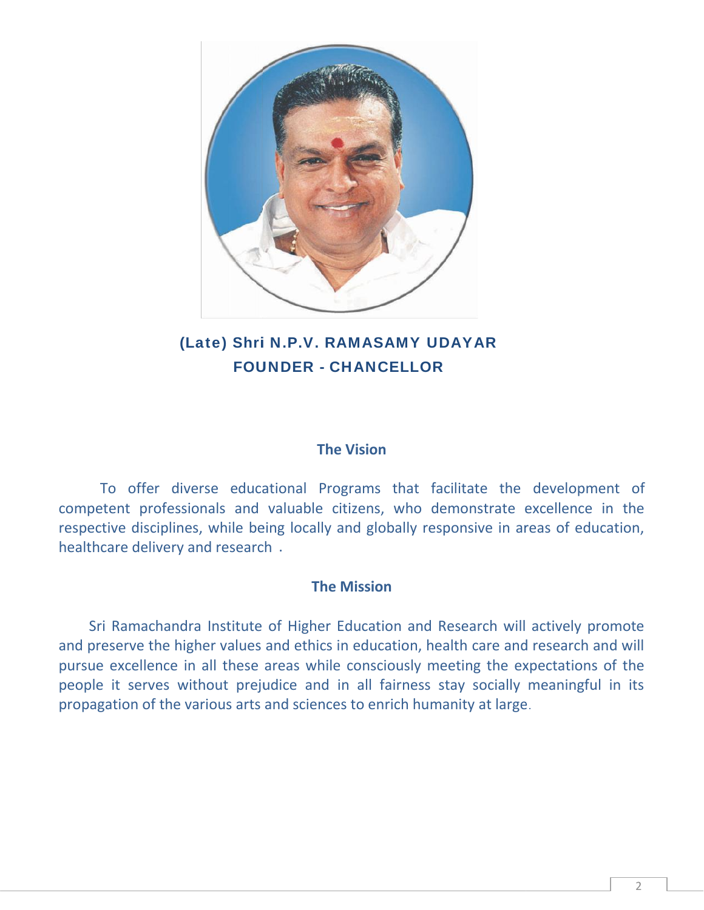

# **(Late) Shri N.P.V. RAMASAMY UDAYAR FOUNDER - CHANCELLOR**

### **The Vision**

To offer diverse educational Programs that facilitate the development of competent professionals and valuable citizens, who demonstrate excellence in the respective disciplines, while being locally and globally responsive in areas of education, healthcare delivery and research.

# **The Mission**

Sri Ramachandra Institute of Higher Education and Research will actively promote and preserve the higher values and ethics in education, health care and research and will pursue excellence in all these areas while consciously meeting the expectations of the people it serves without prejudice and in all fairness stay socially meaningful in its propagation of the various arts and sciences to enrich humanity at large. **Shri N.P.V. RAMASAMY UDAYAR**<br> **FOUNDER** - **CHANCELLOR**<br> **The Vision**<br> **EXECUTE THE VISION**<br> **The Vision**<br> **EXECUTE THE VISION**<br> **The Mission**<br> **ITELNISION**<br> **ITELNISION**<br> **ITELNISION**<br> **ITELNISION**<br> **ITELNISION**<br> **ITELNIS** professionals and valuable citizens, who demonstrate excellence in the<br>respective disciplines, while being locally and globally responsive in areas of education,<br>healthcare delivery and research .<br>**The Mission**<br>Sri Ramacha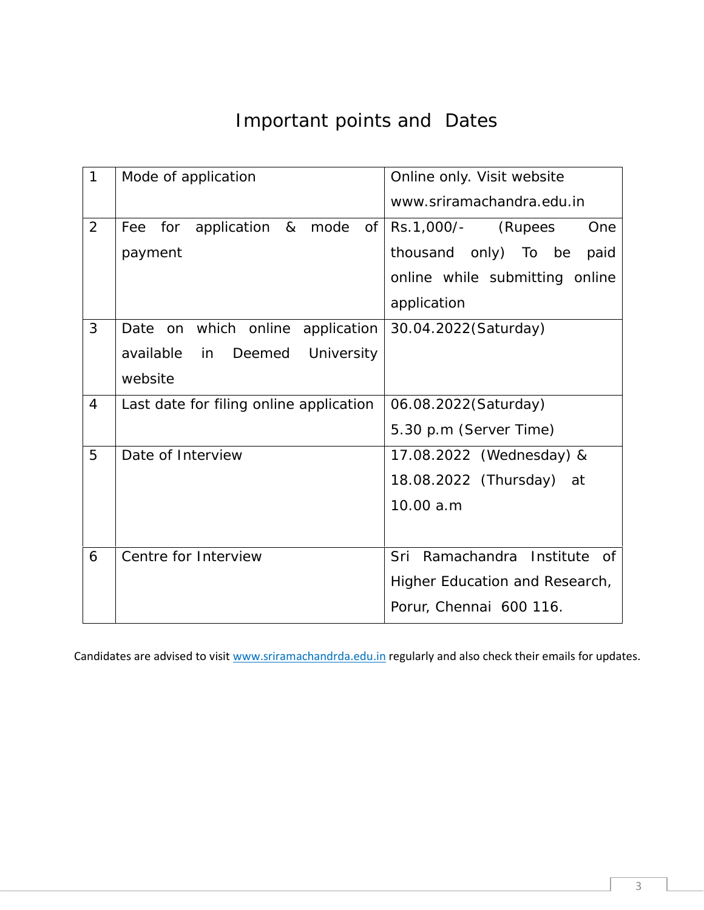# Important points and Dates

| $\mathbf{1}$   | Mode of application                          | Online only. Visit website            |
|----------------|----------------------------------------------|---------------------------------------|
|                |                                              | www.sriramachandra.edu.in             |
| 2              | application<br>for<br>&<br>mode<br>Оf<br>Fee | Rs.1,000/-<br>(Rupees<br>One          |
|                | payment                                      | thousand<br>only) To be<br>paid       |
|                |                                              | online while submitting online        |
|                |                                              | application                           |
| 3              | on which online<br>application<br>Date       | 30.04.2022(Saturday)                  |
|                | available<br>Deemed<br>University<br>in      |                                       |
|                | website                                      |                                       |
| $\overline{4}$ | Last date for filing online application      | 06.08.2022(Saturday)                  |
|                |                                              | 5.30 p.m (Server Time)                |
| 5              | Date of Interview                            | 17.08.2022 (Wednesday) &              |
|                |                                              | 18.08.2022 (Thursday)<br>at           |
|                |                                              | 10.00 a.m                             |
|                |                                              |                                       |
| 6              | Centre for Interview                         | Sri<br>Ramachandra<br>Institute<br>of |
|                |                                              | Higher Education and Research,        |
|                |                                              | Porur, Chennai 600 116.               |

Candidates are advised to visit www.sriramachandrda.edu.in regularly and also check their emails for updates.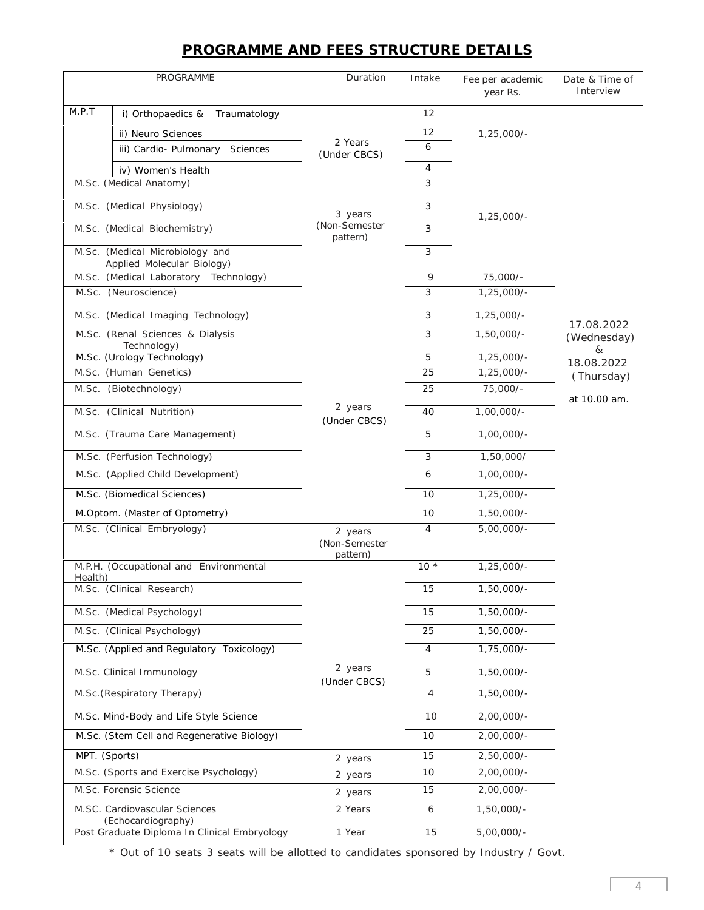# **PROGRAMME AND FEES STRUCTURE DETAILS**

|               | PROGRAMME                                                     | Duration                             | Intake         | Fee per academic<br>year Rs. | Date & Time of<br>Interview |
|---------------|---------------------------------------------------------------|--------------------------------------|----------------|------------------------------|-----------------------------|
| M.P.T         | i) Orthopaedics &<br>Traumatology                             |                                      | 12             |                              |                             |
|               | ii) Neuro Sciences                                            |                                      | 12             | $1,25,000/-$                 |                             |
|               | iii) Cardio- Pulmonary<br>Sciences                            | 2 Years                              | 6              |                              |                             |
|               | iv) Women's Health                                            | (Under CBCS)                         | 4              |                              |                             |
|               | M.Sc. (Medical Anatomy)                                       |                                      | 3              |                              |                             |
|               |                                                               |                                      |                |                              |                             |
|               | M.Sc. (Medical Physiology)<br>M.Sc. (Medical Biochemistry)    | 3 years<br>(Non-Semester             | 3<br>3         | $1,25,000/-$                 |                             |
|               |                                                               | pattern)                             |                |                              |                             |
|               | M.Sc. (Medical Microbiology and<br>Applied Molecular Biology) |                                      | 3              |                              |                             |
|               | M.Sc. (Medical Laboratory<br>Technology)                      |                                      | 9              | 75,000/-                     |                             |
|               | M.Sc. (Neuroscience)                                          |                                      | 3              | $1,25,000/-$                 |                             |
|               | M.Sc. (Medical Imaging Technology)                            |                                      | 3              | $1,25,000/-$                 |                             |
|               | M.Sc. (Renal Sciences & Dialysis                              |                                      | 3              | $1,50,000/-$                 | 17.08.2022                  |
|               | Technology)                                                   |                                      |                |                              | (Wednesday)<br>&            |
|               | M.Sc. (Urology Technology)                                    |                                      | 5              | $1,25,000/-$                 | 18.08.2022                  |
|               | M.Sc. (Human Genetics)                                        |                                      | 25             | $1,25,000/-$                 | (Thursday)                  |
|               | M.Sc. (Biotechnology)                                         |                                      | 25             | 75,000/-                     | at 10.00 am.                |
|               | M.Sc. (Clinical Nutrition)                                    | 2 years<br>(Under CBCS)              | 40             | $1,00,000/-$                 |                             |
|               | M.Sc. (Trauma Care Management)                                |                                      | 5              | $1,00,000/-$                 |                             |
|               | M.Sc. (Perfusion Technology)                                  |                                      | 3              | 1,50,000/                    |                             |
|               | M.Sc. (Applied Child Development)                             |                                      | 6              | $1,00,000/-$                 |                             |
|               | M.Sc. (Biomedical Sciences)                                   |                                      | 10             | $1,25,000/-$                 |                             |
|               | M.Optom. (Master of Optometry)                                |                                      | 10             | $1,50,000/-$                 |                             |
|               | M.Sc. (Clinical Embryology)                                   | 2 years<br>(Non-Semester<br>pattern) | $\overline{4}$ | $5,00,000/-$                 |                             |
|               | M.P.H. (Occupational and Environmental                        |                                      | $10*$          | $1,25,000/-$                 |                             |
| Health)       | M.Sc. (Clinical Research)                                     |                                      | 15             | $1,50,000/-$                 |                             |
|               | M.Sc. (Medical Psychology)                                    |                                      | 15             | $1,50,000/-$                 |                             |
|               | M.Sc. (Clinical Psychology)                                   |                                      | 25             | $1,50,000/-$                 |                             |
|               | M.Sc. (Applied and Regulatory Toxicology)                     |                                      | 4              | $1,75,000/-$                 |                             |
|               | M.Sc. Clinical Immunology                                     | 2 years<br>(Under CBCS)              | 5              | $1,50,000/-$                 |                             |
|               | M.Sc. (Respiratory Therapy)                                   |                                      | 4              | $1,50,000/-$                 |                             |
|               | M.Sc. Mind-Body and Life Style Science                        |                                      | 10             | $2,00,000/-$                 |                             |
|               | M.Sc. (Stem Cell and Regenerative Biology)                    |                                      | 10             | $2,00,000/-$                 |                             |
| MPT. (Sports) |                                                               | 2 years                              | 15             | $2,50,000/-$                 |                             |
|               | M.Sc. (Sports and Exercise Psychology)                        | 2 years                              | 10             | $2,00,000/-$                 |                             |
|               | M.Sc. Forensic Science                                        | 2 years                              | 15             | $2,00,000/-$                 |                             |
|               | M.SC. Cardiovascular Sciences<br>(Echocardiography)           | 2 Years                              | 6              | $1,50,000/-$                 |                             |
|               | Post Graduate Diploma In Clinical Embryology                  | 1 Year                               | 15             | $5,00,000/-$                 |                             |

\* Out of 10 seats 3 seats will be allotted to candidates sponsored by Industry / Govt.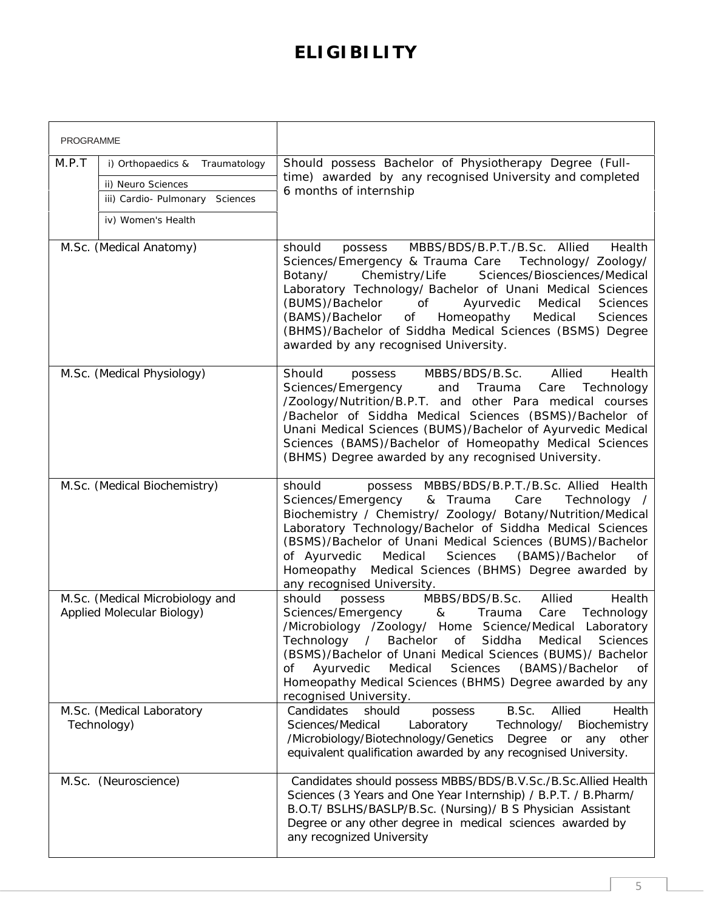# **ELIGIBILITY**

| <b>PROGRAMME</b>                                                                                                          |                                                                                                                                                                                                                                                                                                                                                                                                                                                                                  |
|---------------------------------------------------------------------------------------------------------------------------|----------------------------------------------------------------------------------------------------------------------------------------------------------------------------------------------------------------------------------------------------------------------------------------------------------------------------------------------------------------------------------------------------------------------------------------------------------------------------------|
| M.P.T<br>i) Orthopaedics &<br>Traumatology<br>ii) Neuro Sciences<br>iii) Cardio- Pulmonary Sciences<br>iv) Women's Health | Should possess Bachelor of Physiotherapy Degree (Full-<br>time) awarded by any recognised University and completed<br>6 months of internship                                                                                                                                                                                                                                                                                                                                     |
| M.Sc. (Medical Anatomy)                                                                                                   | MBBS/BDS/B.P.T./B.Sc. Allied<br>should<br>Health<br>possess<br>Sciences/Emergency & Trauma Care Technology/ Zoology/<br>Chemistry/Life<br>Botany/<br>Sciences/Biosciences/Medical<br>Laboratory Technology/ Bachelor of Unani Medical Sciences<br>(BUMS)/Bachelor<br>of<br>Ayurvedic<br>Medical<br>Sciences<br>(BAMS)/Bachelor<br>Οf<br>Homeopathy<br>Medical<br>Sciences<br>(BHMS)/Bachelor of Siddha Medical Sciences (BSMS) Degree<br>awarded by any recognised University.   |
| M.Sc. (Medical Physiology)                                                                                                | Allied<br>Should<br>MBBS/BDS/B.Sc.<br>Health<br>possess<br>Sciences/Emergency<br>and Trauma<br>Care<br>Technology<br>/Zoology/Nutrition/B.P.T. and other Para medical courses<br>/Bachelor of Siddha Medical Sciences (BSMS)/Bachelor of<br>Unani Medical Sciences (BUMS)/Bachelor of Ayurvedic Medical<br>Sciences (BAMS)/Bachelor of Homeopathy Medical Sciences<br>(BHMS) Degree awarded by any recognised University.                                                        |
| M.Sc. (Medical Biochemistry)                                                                                              | should<br>possess MBBS/BDS/B.P.T./B.Sc. Allied Health<br>Sciences/Emergency<br>& Trauma<br>Care<br>Technology /<br>Biochemistry / Chemistry/ Zoology/ Botany/Nutrition/Medical<br>Laboratory Technology/Bachelor of Siddha Medical Sciences<br>(BSMS)/Bachelor of Unani Medical Sciences (BUMS)/Bachelor<br>of Ayurvedic<br>Medical<br><b>Sciences</b><br>(BAMS)/Bachelor<br>Οf<br>Homeopathy Medical Sciences (BHMS) Degree awarded by<br>any recognised University.            |
| M.Sc. (Medical Microbiology and<br>Applied Molecular Biology)                                                             | MBBS/BDS/B.Sc.<br>should<br>Allied<br>Health<br>possess<br>Sciences/Emergency<br>Care<br>Technology<br>&<br>Trauma<br>/Microbiology /Zoology/ Home Science/Medical Laboratory<br>Technology<br>Bachelor<br>of Siddha<br>Medical<br>$\sqrt{2}$<br>Sciences<br>(BSMS)/Bachelor of Unani Medical Sciences (BUMS)/ Bachelor<br>Medical<br>Ayurvedic<br>Sciences<br>(BAMS)/Bachelor<br>Οf<br>0f<br>Homeopathy Medical Sciences (BHMS) Degree awarded by any<br>recognised University. |
| M.Sc. (Medical Laboratory<br>Technology)                                                                                  | B.Sc.<br>Allied<br>Candidates<br>Health<br>should<br>possess<br>Sciences/Medical<br>Laboratory<br>Technology/<br>Biochemistry<br>/Microbiology/Biotechnology/Genetics Degree or<br>any other<br>equivalent qualification awarded by any recognised University.                                                                                                                                                                                                                   |
| M.Sc. (Neuroscience)                                                                                                      | Candidates should possess MBBS/BDS/B.V.Sc./B.Sc.Allied Health<br>Sciences (3 Years and One Year Internship) / B.P.T. / B.Pharm/<br>B.O.T/ BSLHS/BASLP/B.Sc. (Nursing)/ B S Physician Assistant<br>Degree or any other degree in medical sciences awarded by<br>any recognized University                                                                                                                                                                                         |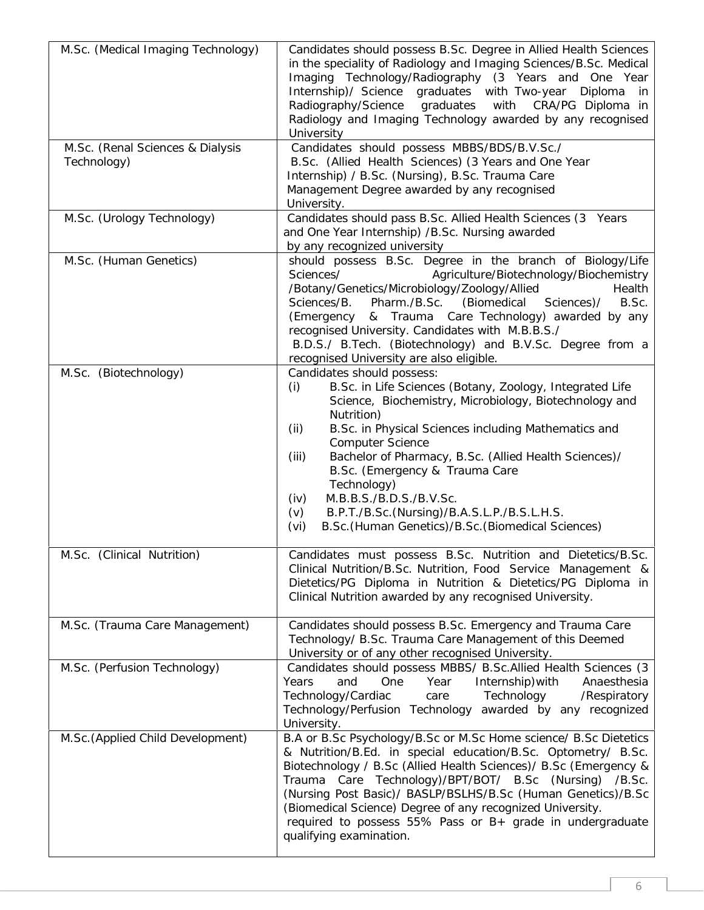| M.Sc. (Medical Imaging Technology)<br>M.Sc. (Renal Sciences & Dialysis<br>Technology) | Candidates should possess B.Sc. Degree in Allied Health Sciences<br>in the speciality of Radiology and Imaging Sciences/B.Sc. Medical<br>Imaging Technology/Radiography (3 Years and One Year<br>Internship)/ Science graduates with Two-year<br>Diploma<br>in<br>Radiography/Science<br>graduates<br>with<br>CRA/PG Diploma in<br>Radiology and Imaging Technology awarded by any recognised<br>University<br>Candidates should possess MBBS/BDS/B.V.Sc./<br>B.Sc. (Allied Health Sciences) (3 Years and One Year<br>Internship) / B.Sc. (Nursing), B.Sc. Trauma Care<br>Management Degree awarded by any recognised<br>University. |
|---------------------------------------------------------------------------------------|--------------------------------------------------------------------------------------------------------------------------------------------------------------------------------------------------------------------------------------------------------------------------------------------------------------------------------------------------------------------------------------------------------------------------------------------------------------------------------------------------------------------------------------------------------------------------------------------------------------------------------------|
| M.Sc. (Urology Technology)                                                            | Candidates should pass B.Sc. Allied Health Sciences (3 Years<br>and One Year Internship) /B.Sc. Nursing awarded<br>by any recognized university                                                                                                                                                                                                                                                                                                                                                                                                                                                                                      |
| M.Sc. (Human Genetics)                                                                | should possess B.Sc. Degree in the branch of Biology/Life<br>Sciences/<br>Agriculture/Biotechnology/Biochemistry<br>/Botany/Genetics/Microbiology/Zoology/Allied<br>Health<br>(Biomedical<br>Sciences/B.<br>Pharm./B.Sc.<br>Sciences)/<br>B.Sc.<br>& Trauma Care Technology) awarded by any<br>(Emergency<br>recognised University. Candidates with M.B.B.S./<br>B.D.S./ B.Tech. (Biotechnology) and B.V.Sc. Degree from a<br>recognised University are also eligible.                                                                                                                                                               |
| M.Sc. (Biotechnology)                                                                 | Candidates should possess:<br>B.Sc. in Life Sciences (Botany, Zoology, Integrated Life<br>(i)<br>Science, Biochemistry, Microbiology, Biotechnology and<br>Nutrition)<br>B.Sc. in Physical Sciences including Mathematics and<br>(ii)<br><b>Computer Science</b><br>Bachelor of Pharmacy, B.Sc. (Allied Health Sciences)/<br>(iii)<br>B.Sc. (Emergency & Trauma Care<br>Technology)<br>M.B.B.S./B.D.S./B.V.Sc.<br>(iv)<br>B.P.T./B.Sc.(Nursing)/B.A.S.L.P./B.S.L.H.S.<br>(v)<br>B.Sc. (Human Genetics)/B.Sc. (Biomedical Sciences)<br>(vi)                                                                                           |
| M.Sc. (Clinical Nutrition)                                                            | Candidates must possess B.Sc. Nutrition and Dietetics/B.Sc.<br>Clinical Nutrition/B.Sc. Nutrition, Food Service Management &<br>Dietetics/PG Diploma in Nutrition & Dietetics/PG Diploma in<br>Clinical Nutrition awarded by any recognised University.                                                                                                                                                                                                                                                                                                                                                                              |
| M.Sc. (Trauma Care Management)<br>M.Sc. (Perfusion Technology)                        | Candidates should possess B.Sc. Emergency and Trauma Care<br>Technology/ B.Sc. Trauma Care Management of this Deemed<br>University or of any other recognised University.<br>Candidates should possess MBBS/ B.Sc.Allied Health Sciences (3<br>Years<br>and<br><b>One</b><br>Year<br>Internship) with<br>Anaesthesia<br>Technology/Cardiac<br>Technology<br>/Respiratory<br>care<br>Technology/Perfusion Technology awarded by any recognized<br>University.                                                                                                                                                                         |
| M.Sc. (Applied Child Development)                                                     | B.A or B.Sc Psychology/B.Sc or M.Sc Home science/ B.Sc Dietetics<br>& Nutrition/B.Ed. in special education/B.Sc. Optometry/ B.Sc.<br>Biotechnology / B.Sc (Allied Health Sciences) / B.Sc (Emergency &<br>Trauma Care Technology)/BPT/BOT/ B.Sc (Nursing) /B.Sc.<br>(Nursing Post Basic)/ BASLP/BSLHS/B.Sc (Human Genetics)/B.Sc<br>(Biomedical Science) Degree of any recognized University.<br>required to possess 55% Pass or B+ grade in undergraduate<br>qualifying examination.                                                                                                                                                |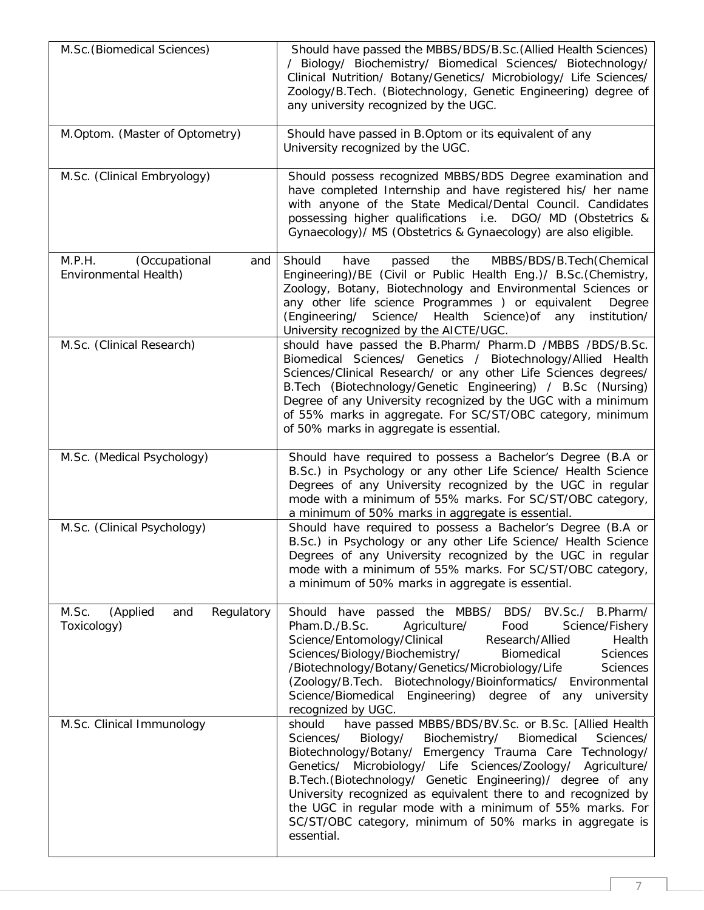| M.Sc. (Biomedical Sciences)                             | Should have passed the MBBS/BDS/B.Sc. (Allied Health Sciences)<br>/ Biology/ Biochemistry/ Biomedical Sciences/ Biotechnology/<br>Clinical Nutrition/ Botany/Genetics/ Microbiology/ Life Sciences/<br>Zoology/B.Tech. (Biotechnology, Genetic Engineering) degree of<br>any university recognized by the UGC.                                                                                                                                                                                                                      |
|---------------------------------------------------------|-------------------------------------------------------------------------------------------------------------------------------------------------------------------------------------------------------------------------------------------------------------------------------------------------------------------------------------------------------------------------------------------------------------------------------------------------------------------------------------------------------------------------------------|
| M.Optom. (Master of Optometry)                          | Should have passed in B.Optom or its equivalent of any<br>University recognized by the UGC.                                                                                                                                                                                                                                                                                                                                                                                                                                         |
| M.Sc. (Clinical Embryology)                             | Should possess recognized MBBS/BDS Degree examination and<br>have completed Internship and have registered his/ her name<br>with anyone of the State Medical/Dental Council. Candidates<br>possessing higher qualifications i.e. DGO/ MD (Obstetrics &<br>Gynaecology)/ MS (Obstetrics & Gynaecology) are also eligible.                                                                                                                                                                                                            |
| M.P.H.<br>(Occupational<br>and<br>Environmental Health) | Should<br>MBBS/BDS/B.Tech(Chemical<br>have<br>the<br>passed<br>Engineering)/BE (Civil or Public Health Eng.)/ B.Sc.(Chemistry,<br>Zoology, Botany, Biotechnology and Environmental Sciences or<br>any other life science Programmes ) or equivalent<br>Degree<br>Science/ Health Science) of any institution/<br>(Engineering/<br>University recognized by the AICTE/UGC.                                                                                                                                                           |
| M.Sc. (Clinical Research)                               | should have passed the B.Pharm/ Pharm.D /MBBS /BDS/B.Sc.<br>Biomedical Sciences/ Genetics / Biotechnology/Allied Health<br>Sciences/Clinical Research/ or any other Life Sciences degrees/<br>B.Tech (Biotechnology/Genetic Engineering) / B.Sc (Nursing)<br>Degree of any University recognized by the UGC with a minimum<br>of 55% marks in aggregate. For SC/ST/OBC category, minimum<br>of 50% marks in aggregate is essential.                                                                                                 |
| M.Sc. (Medical Psychology)                              | Should have required to possess a Bachelor's Degree (B.A or<br>B.Sc.) in Psychology or any other Life Science/ Health Science<br>Degrees of any University recognized by the UGC in regular<br>mode with a minimum of 55% marks. For SC/ST/OBC category,<br>a minimum of 50% marks in aggregate is essential.                                                                                                                                                                                                                       |
| M.Sc. (Clinical Psychology)                             | Should have required to possess a Bachelor's Degree (B.A or<br>B.Sc.) in Psychology or any other Life Science/ Health Science<br>Degrees of any University recognized by the UGC in regular<br>mode with a minimum of 55% marks. For SC/ST/OBC category,<br>a minimum of 50% marks in aggregate is essential.                                                                                                                                                                                                                       |
| M.Sc.<br>Regulatory<br>(Applied<br>and<br>Toxicology)   | Should have passed the MBBS/<br>BDS/<br>BV.Sc./<br>B.Pharm/<br>Pham.D./B.Sc.<br>Science/Fishery<br>Agriculture/<br>Food<br>Science/Entomology/Clinical<br>Research/Allied<br>Health<br>Sciences/Biology/Biochemistry/<br>Biomedical<br><b>Sciences</b><br>/Biotechnology/Botany/Genetics/Microbiology/Life<br><b>Sciences</b><br>(Zoology/B.Tech. Biotechnology/Bioinformatics/ Environmental<br>Science/Biomedical Engineering) degree of any<br>university<br>recognized by UGC.                                                  |
| M.Sc. Clinical Immunology                               | should<br>have passed MBBS/BDS/BV.Sc. or B.Sc. [Allied Health<br>Sciences/<br>Biology/<br>Biochemistry/<br>Biomedical<br>Sciences/<br>Biotechnology/Botany/ Emergency Trauma Care Technology/<br>Genetics/ Microbiology/ Life Sciences/Zoology/ Agriculture/<br>B.Tech. (Biotechnology/ Genetic Engineering)/ degree of any<br>University recognized as equivalent there to and recognized by<br>the UGC in regular mode with a minimum of 55% marks. For<br>SC/ST/OBC category, minimum of 50% marks in aggregate is<br>essential. |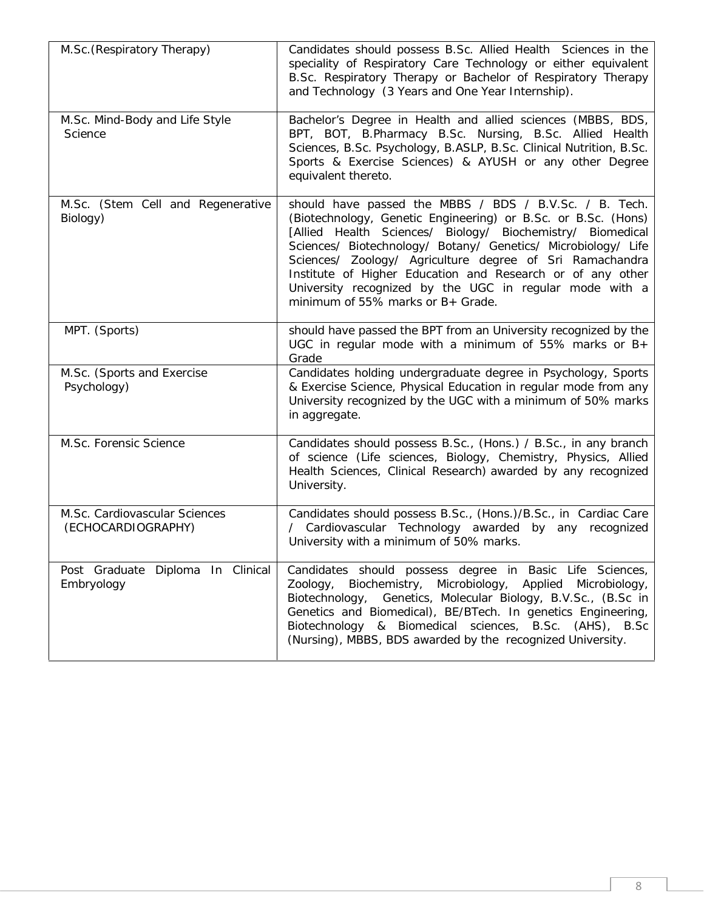| M.Sc. (Respiratory Therapy)                         | Candidates should possess B.Sc. Allied Health Sciences in the<br>speciality of Respiratory Care Technology or either equivalent<br>B.Sc. Respiratory Therapy or Bachelor of Respiratory Therapy<br>and Technology (3 Years and One Year Internship).                                                                                                                                                                                                                             |
|-----------------------------------------------------|----------------------------------------------------------------------------------------------------------------------------------------------------------------------------------------------------------------------------------------------------------------------------------------------------------------------------------------------------------------------------------------------------------------------------------------------------------------------------------|
| M.Sc. Mind-Body and Life Style<br>Science           | Bachelor's Degree in Health and allied sciences (MBBS, BDS,<br>BPT, BOT, B.Pharmacy B.Sc. Nursing, B.Sc. Allied Health<br>Sciences, B.Sc. Psychology, B.ASLP, B.Sc. Clinical Nutrition, B.Sc.<br>Sports & Exercise Sciences) & AYUSH or any other Degree<br>equivalent thereto.                                                                                                                                                                                                  |
| M.Sc. (Stem Cell and Regenerative<br>Biology)       | should have passed the MBBS / BDS / B.V.Sc. / B. Tech.<br>(Biotechnology, Genetic Engineering) or B.Sc. or B.Sc. (Hons)<br>[Allied Health Sciences/ Biology/ Biochemistry/ Biomedical<br>Sciences/ Biotechnology/ Botany/ Genetics/ Microbiology/ Life<br>Sciences/ Zoology/ Agriculture degree of Sri Ramachandra<br>Institute of Higher Education and Research or of any other<br>University recognized by the UGC in regular mode with a<br>minimum of 55% marks or B+ Grade. |
| MPT. (Sports)                                       | should have passed the BPT from an University recognized by the<br>UGC in regular mode with a minimum of 55% marks or $B+$<br>Grade                                                                                                                                                                                                                                                                                                                                              |
| M.Sc. (Sports and Exercise<br>Psychology)           | Candidates holding undergraduate degree in Psychology, Sports<br>& Exercise Science, Physical Education in regular mode from any<br>University recognized by the UGC with a minimum of 50% marks<br>in aggregate.                                                                                                                                                                                                                                                                |
| M.Sc. Forensic Science                              | Candidates should possess B.Sc., (Hons.) / B.Sc., in any branch<br>of science (Life sciences, Biology, Chemistry, Physics, Allied<br>Health Sciences, Clinical Research) awarded by any recognized<br>University.                                                                                                                                                                                                                                                                |
| M.Sc. Cardiovascular Sciences<br>(ECHOCARDIOGRAPHY) | Candidates should possess B.Sc., (Hons.)/B.Sc., in Cardiac Care<br>/ Cardiovascular Technology awarded by any recognized<br>University with a minimum of 50% marks.                                                                                                                                                                                                                                                                                                              |
| Post Graduate Diploma In Clinical<br>Embryology     | Candidates should possess degree in Basic Life Sciences,<br>Zoology, Biochemistry, Microbiology, Applied Microbiology,<br>Biotechnology, Genetics, Molecular Biology, B.V.Sc., (B.Sc in<br>Genetics and Biomedical), BE/BTech. In genetics Engineering,<br>Biotechnology & Biomedical sciences, B.Sc. (AHS), B.Sc.<br>(Nursing), MBBS, BDS awarded by the recognized University.                                                                                                 |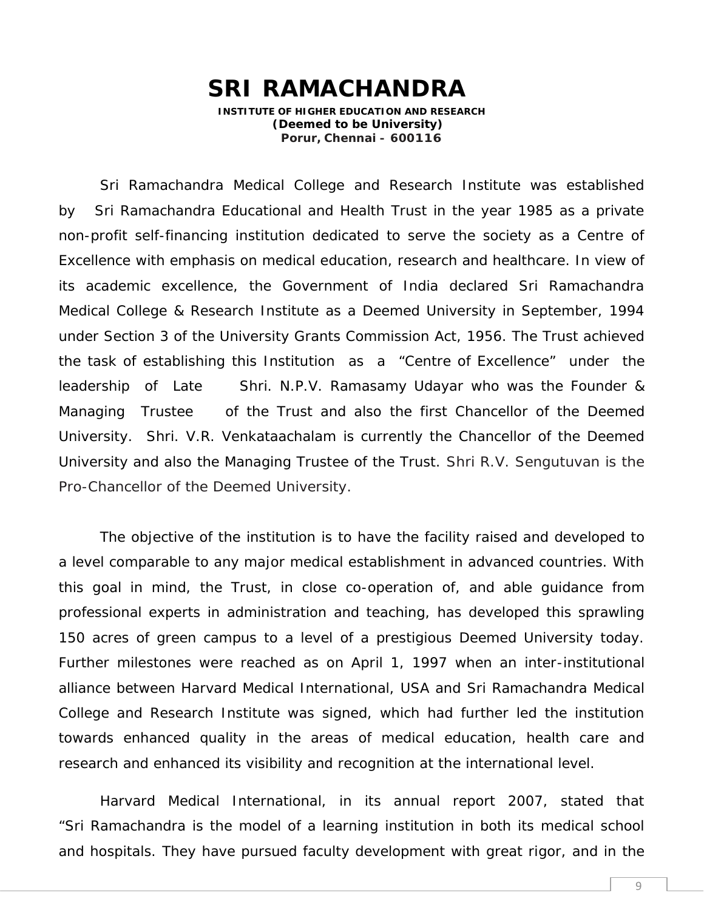# **SRI RAMACHANDRA**

**INSTITUTE OF HIGHER EDUCATION AND RESEARCH (Deemed to be University) Porur, Chennai – 600116**

Sri Ramachandra Medical College and Research Institute was established by Sri Ramachandra Educational and Health Trust in the year 1985 as a private non-profit self-financing institution dedicated to serve the society as a Centre of Excellence with emphasis on medical education, research and healthcare. In view of its academic excellence, the Government of India declared Sri Ramachandra Medical College & Research Institute as a Deemed University in September, 1994 under Section 3 of the University Grants Commission Act, 1956. The Trust achieved the task of establishing this Institution as a "Centre of Excellence" under the leadership of Late Shri. N.P.V. Ramasamy Udayar who was the Founder & Managing Trustee of the Trust and also the first Chancellor of the Deemed University. Shri. V.R. Venkataachalam is currently the Chancellor of the Deemed University and also the Managing Trustee of the Trust. Shri R.V. Sengutuvan is the Pro-Chancellor of the Deemed University.

The objective of the institution is to have the facility raised and developed to a level comparable to any major medical establishment in advanced countries. With this goal in mind, the Trust, in close co-operation of, and able guidance from professional experts in administration and teaching, has developed this sprawling 150 acres of green campus to a level of a prestigious Deemed University today. Further milestones were reached as on April 1, 1997 when an inter-institutional alliance between Harvard Medical International, USA and Sri Ramachandra Medical College and Research Institute was signed, which had further led the institution towards enhanced quality in the areas of medical education, health care and research and enhanced its visibility and recognition at the international level.

Harvard Medical International, in its annual report 2007, stated that "Sri Ramachandra is the model of a learning institution in both its medical school and hospitals. They have pursued faculty development with great rigor, and in the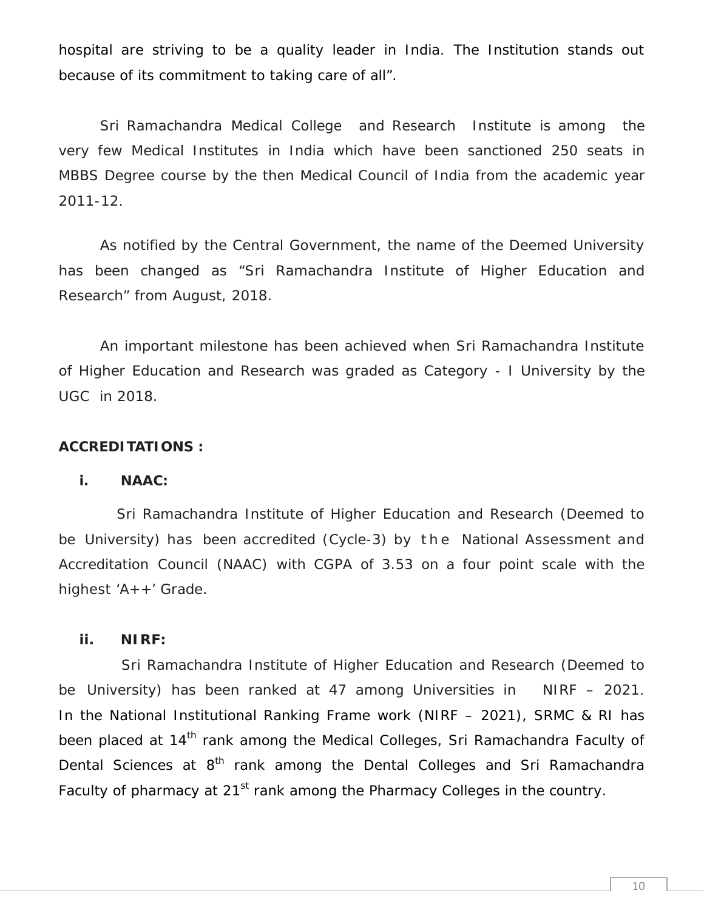hospital are striving to be a quality leader in India. The Institution stands out because of its commitment to taking care of all".

Sri Ramachandra Medical College and Research Institute is among the very few Medical Institutes in India which have been sanctioned 250 seats in MBBS Degree course by the then Medical Council of India from the academic year 2011-12.

As notified by the Central Government, the name of the Deemed University has been changed as "Sri Ramachandra Institute of Higher Education and Research" from August, 2018.

An important milestone has been achieved when Sri Ramachandra Institute of Higher Education and Research was graded as Category -I University by the UGC in 2018.

**ACCREDITATIONS :**

**i. NAAC:**

Sri Ramachandra Institute of Higher Education and Research (Deemed to be University) has been accredited (Cycle-3) by the National Assessment and Accreditation Council (NAAC) with CGPA of 3.53 on a four point scale with the highest 'A++' Grade.

**ii. NIRF:**

Sri Ramachandra Institute of Higher Education and Research (Deemed to be University) has been ranked at 47 among Universities in NIRF – 2021. In the National Institutional Ranking Frame work (NIRF – 2021), SRMC & RI has been placed at 14<sup>th</sup> rank among the Medical Colleges, Sri Ramachandra Faculty of Dental Sciences at 8<sup>th</sup> rank among the Dental Colleges and Sri Ramachandra Faculty of pharmacy at 21<sup>st</sup> rank among the Pharmacy Colleges in the country.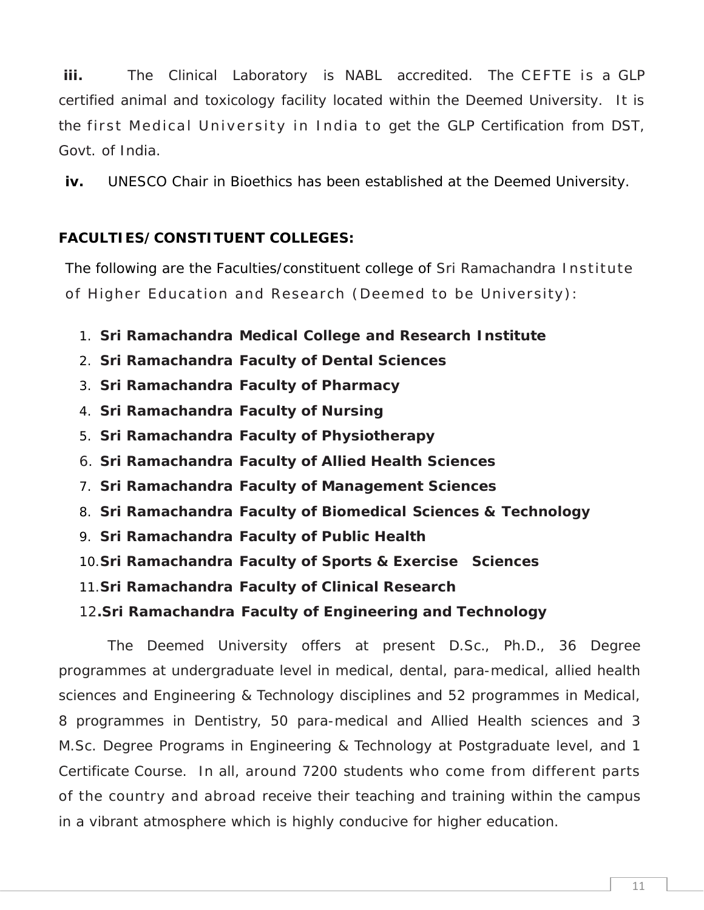**iii.** The Clinical Laboratory is NABL accredited. The CE FTE i s a GLP certified animal and toxicology facility located within the Deemed University. It is iii. The Clinical Laboratory is NABL accredited. The CEFTE is a GLP<br>certified animal and toxicology facility located within the Deemed University. It is<br>the first Medical University in India to get the GLP Certification fr Govt. of India.

**iv.** UNESCO Chair in Bioethics has been established at the Deemed University.

# **FACULTIES/CONSTITUENT COLLEGES:**

The following are the Faculties/constituent college of Sri Ramachandra Institute<br>The following are the Faculties/constituent college of Sri Ramachandra Institute<br>of Higher Education and Research (Deemed to be University): ACULTIES/CONSTITUENT COLLEGES:<br>The following are the Faculties/constituent college of Sri Ramachandra Institut<br>of Higher Education and Research (Deemed to be University):

- 1. **Sri Ramachandra Medical College and Research Institute**
- 2. **Sri Ramachandra Faculty of Dental Sciences**
- 3. **Sri Ramachandra Faculty of Pharmacy**
- 4. **Sri Ramachandra Faculty of Nursing**
- 5. **Sri Ramachandra Faculty of Physiotherapy**
- 6. **Sri Ramachandra Faculty of Allied Health Sciences**
- 7. **Sri Ramachandra Faculty of Management Sciences**
- 8. **Sri Ramachandra Faculty of Biomedical Sciences & Technology**
- 9. **Sri Ramachandra Faculty of Public Health**
- 10.**Sri Ramachandra Faculty of Sports & Exercise Sciences**
- 11.**Sri Ramachandra Faculty of Clinical Research**
- 12**.Sri Ramachandra Faculty of Engineering and Technology**

The Deemed University offers at present D.Sc., Ph.D., 36 Degree programmes at undergraduate level in medical, dental, para-medical, allied health sciences and Engineering & Technology disciplines and 52 programmes in Medical, 8 programmes in Dentistry, 50 para-medical and Allied Health sciences and 3 M.Sc. Degree Programs in Engineering & Technology at Postgraduate level, and 1 Certificate Course. In all, around 7200 students who come from different parts of the country and abroad receive their teaching and training within the campus in a vibrant atmosphere which is highly conducive for higher education.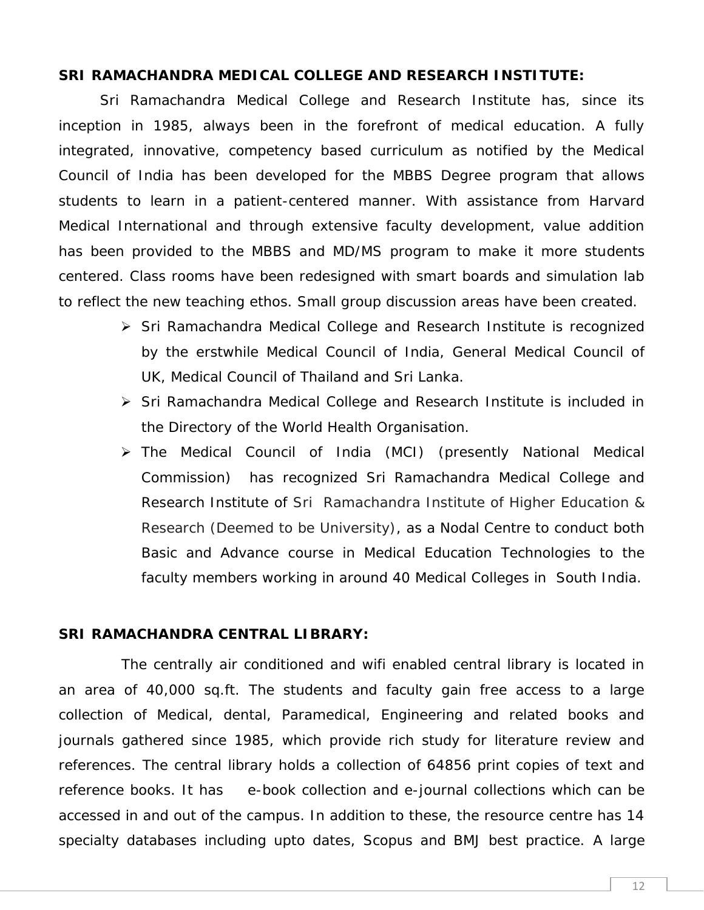#### **SRI RAMACHANDRA MEDICAL COLLEGE AND RESEARCH INSTITUTE:**

Sri Ramachandra Medical College and Research Institute has, since its inception in 1985, always been in the forefront of medical education. A fully integrated, innovative, competency based curriculum as notified by the Medical Council of India has been developed for the MBBS Degree program that allows students to learn in a patient-centered manner. With assistance from Harvard Medical International and through extensive faculty development, value addition has been provided to the MBBS and MD/MS program to make it more students centered. Class rooms have been redesigned with smart boards and simulation lab to reflect the new teaching ethos. Small group discussion areas have been created.

- ▶ Sri Ramachandra Medical College and Research Institute is recognized by the erstwhile Medical Council of India, General Medical Council of UK, Medical Council of Thailand and Sri Lanka.
- ▶ Sri Ramachandra Medical College and Research Institute is included in the Directory of the World Health Organisation.
- The Medical Council of India (MCI) (presently National Medical Commission) has recognized Sri Ramachandra Medical College and Research Institute of Sri Ramachandra Institute of Higher Education & Research (Deemed to be University), as a Nodal Centre to conduct both Basic and Advance course in Medical Education Technologies to the faculty members working in around 40 Medical Colleges in South India.

#### **SRI RAMACHANDRA CENTRAL LIBRARY:**

The centrally air conditioned and wifi enabled central library is located in an area of 40,000 sq.ft. The students and faculty gain free access to a large collection of Medical, dental, Paramedical, Engineering and related books and journals gathered since 1985, which provide rich study for literature review and references. The central library holds a collection of 64856 print copies of text and reference books. It has e-book collection and e-journal collections which can be accessed in and out of the campus. In addition to these, the resource centre has 14 specialty databases including upto dates, Scopus and BMJ best practice. A large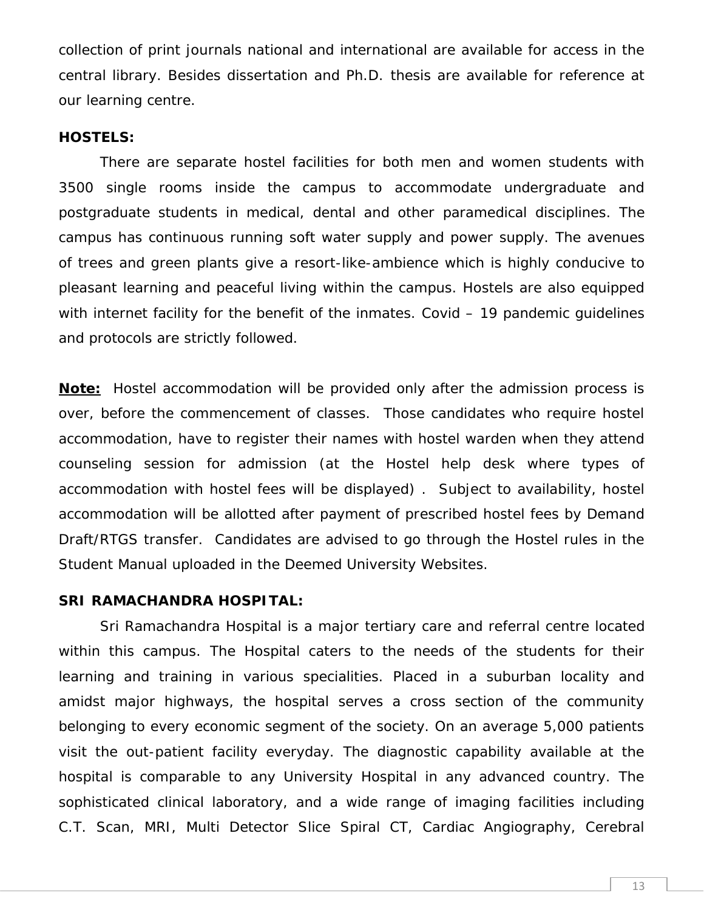collection of print journals national and international are available for access in the central library. Besides dissertation and Ph.D. thesis are available for reference at our learning centre.

#### **HOSTELS:**

There are separate hostel facilities for both men and women students with 3500 single rooms inside the campus to accommodate undergraduate and postgraduate students in medical, dental and other paramedical disciplines. The campus has continuous running soft water supply and power supply. The avenues of trees and green plants give a resort-like-ambience which is highly conducive to pleasant learning and peaceful living within the campus. Hostels are also equipped with internet facility for the benefit of the inmates. Covid - 19 pandemic guidelines and protocols are strictly followed.

**Note:** Hostel accommodation will be provided only after the admission process is over, before the commencement of classes. Those candidates who require hostel accommodation, have to register their names with hostel warden when they attend counseling session for admission (at the Hostel help desk where types of accommodation with hostel fees will be displayed) . Subject to availability, hostel accommodation will be allotted after payment of prescribed hostel fees by Demand Draft/RTGS transfer. Candidates are advised to go through the Hostel rules in the Student Manual uploaded in the Deemed University Websites.

#### **SRI RAMACHANDRA HOSPITAL:**

Sri Ramachandra Hospital is a major tertiary care and referral centre located within this campus. The Hospital caters to the needs of the students for their learning and training in various specialities. Placed in a suburban locality and amidst major highways, the hospital serves a cross section of the community belonging to every economic segment of the society. On an average 5,000 patients visit the out-patient facility everyday. The diagnostic capability available at the hospital is comparable to any University Hospital in any advanced country. The sophisticated clinical laboratory, and a wide range of imaging facilities including C.T. Scan, MRI, Multi Detector Slice Spiral CT, Cardiac Angiography, Cerebral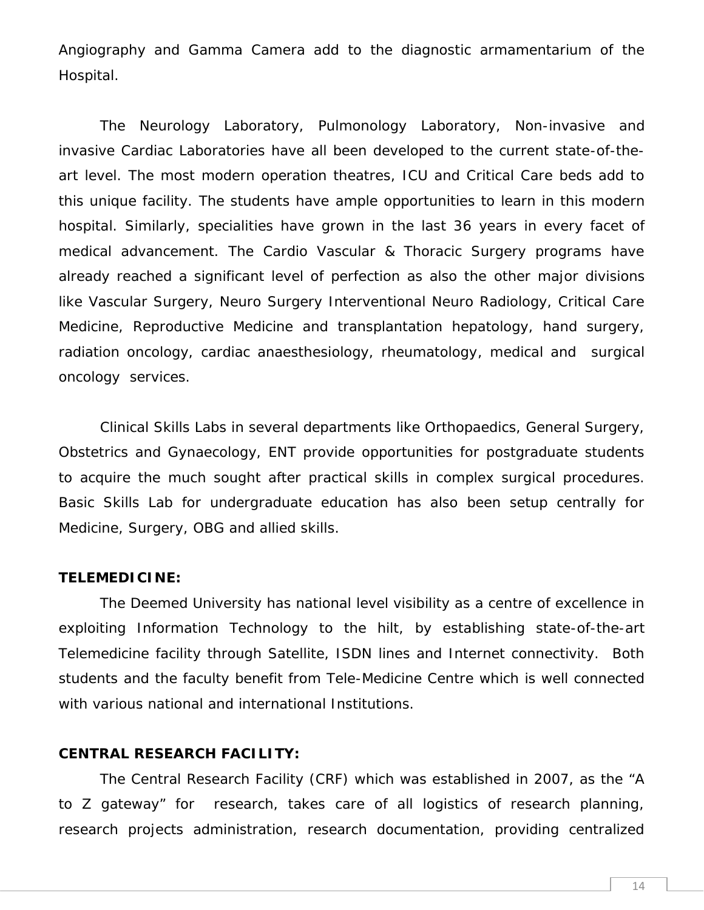Angiography and Gamma Camera add to the diagnostic armamentarium of the Hospital.

The Neurology Laboratory, Pulmonology Laboratory, Non-invasive and invasive Cardiac Laboratories have all been developed to the current state-of-the art level. The most modern operation theatres, ICU and Critical Care beds add to this unique facility. The students have ample opportunities to learn in this modern hospital. Similarly, specialities have grown in the last 36 years in every facet of medical advancement. The Cardio Vascular & Thoracic Surgery programs have already reached a significant level of perfection as also the other major divisions like Vascular Surgery, Neuro Surgery Interventional Neuro Radiology, Critical Care Medicine, Reproductive Medicine and transplantation hepatology, hand surgery, radiation oncology, cardiac anaesthesiology, rheumatology, medical and surgical oncology services.

Clinical Skills Labs in several departments like Orthopaedics, General Surgery, Obstetrics and Gynaecology, ENT provide opportunities for postgraduate students to acquire the much sought after practical skills in complex surgical procedures. Basic Skills Lab for undergraduate education has also been setup centrally for Medicine, Surgery, OBG and allied skills.

#### **TELEMEDICINE:**

The Deemed University has national level visibility as a centre of excellence in exploiting Information Technology to the hilt, by establishing state-of-the-art Telemedicine facility through Satellite, ISDN lines and Internet connectivity. Both students and the faculty benefit from Tele-Medicine Centre which is well connected with various national and international Institutions.

#### **CENTRAL RESEARCH FACILITY:**

The Central Research Facility (CRF) which was established in 2007, as the "A to Z gateway" for research, takes care of all logistics of research planning, research projects administration, research documentation, providing centralized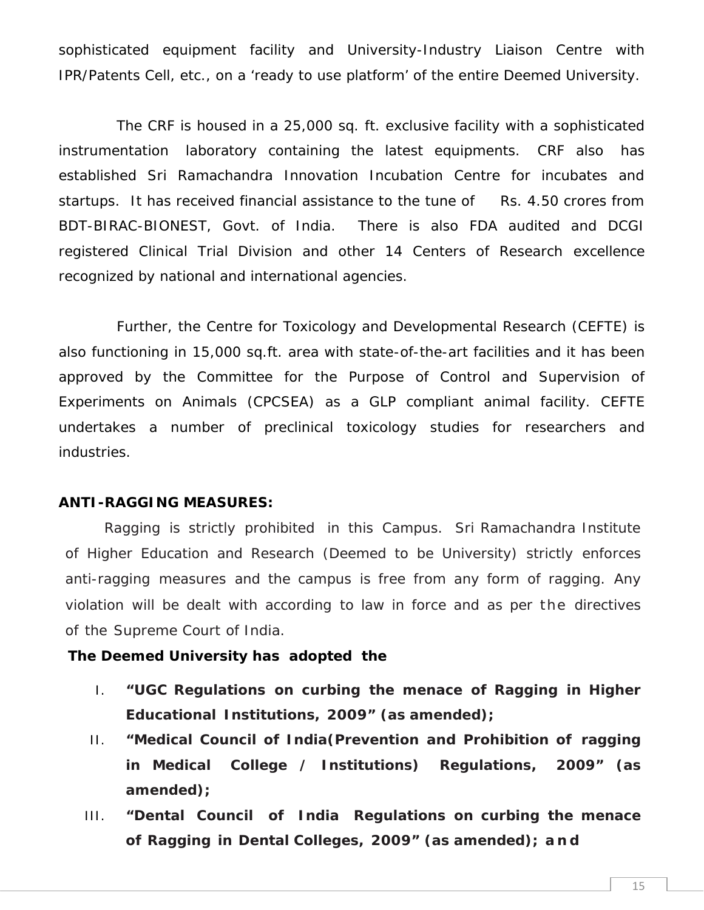sophisticated equipment facility and University-Industry Liaison Centre with IPR/Patents Cell, etc., on a 'ready to use platform' of the entire Deemed University.

The CRF is housed in a 25,000 sq. ft. exclusive facility with a sophisticated instrumentation laboratory containing the latest equipments. CRF also has established Sri Ramachandra Innovation Incubation Centre for incubates and startups. It has received financial assistance to the tune of Rs. 4.50 crores from BDT-BIRAC-BIONEST, Govt. of India. There is also FDA audited and DCGI registered Clinical Trial Division and other 14 Centers of Research excellence recognized by national and international agencies.

Further, the Centre for Toxicology and Developmental Research (CEFTE) is also functioning in 15,000 sq.ft. area with state-of-the-art facilities and it has been approved by the Committee for the Purpose of Control and Supervision of Experiments on Animals (CPCSEA) as a GLP compliant animal facility. CEFTE undertakes a number of preclinical toxicology studies for researchers and industries.

#### **ANTI-RAGGING MEASURES:**

Ragging is strictly prohibited in this Campus. Sri Ramachandra Institute of Higher Education and Research (Deemed to be University) strictly enforces anti-ragging measures and the campus is free from any form of ragging. Any violation will be dealt with according to law in force and as per the directives of the Supreme Court of India.

**The Deemed University has adopted the**

- I. **"UGC Regulations on curbing the menace of Ragging in Higher Educational Institutions, 2009" (as amended);**
- II. **"Medical Council of India(Prevention and Prohibition of ragging in Medical College / Institutions) Regulations, 2009" (as amended);**
- III. **"Dental Council of India Regulations on curbing the menace of Ragging in Dental Colleges, 2009" (as amended); a n d**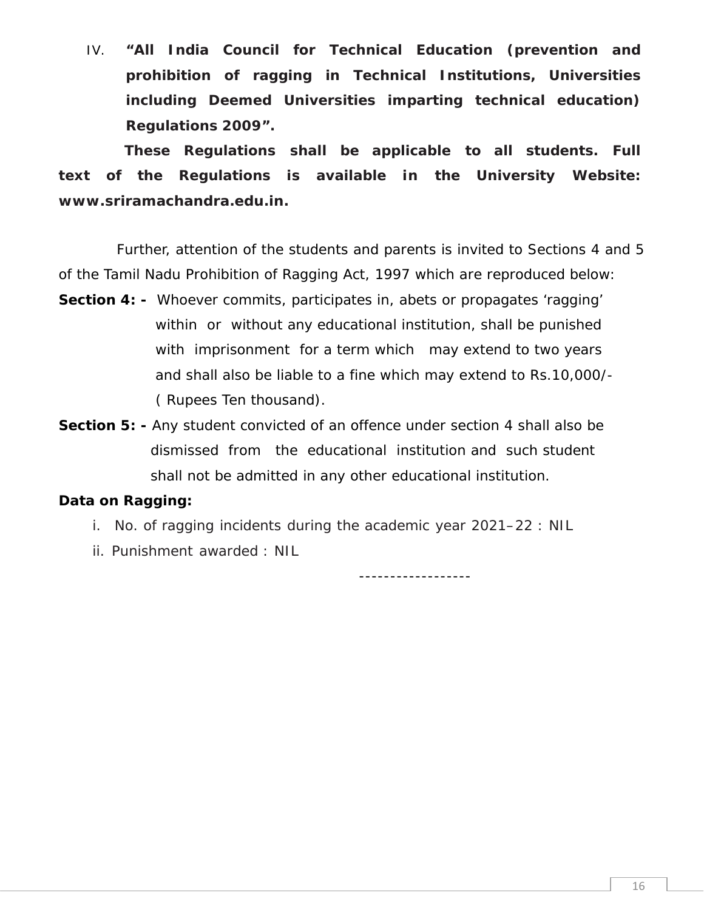IV. **"All India Council for Technical Education (prevention and prohibition of ragging in Technical Institutions, Universities including Deemed Universities imparting technical education) Regulations 2009".**

**These Regulations shall be applicable to all students. Full text of the Regulations is available in the University Website: www.sriramachandra.edu.in.**

Further, attention of the students and parents is invited to Sections 4 and 5 of the Tamil Nadu Prohibition of Ragging Act, 1997 which are reproduced below: **Section 4: -** Whoever commits, participates in, abets or propagates 'ragging'

- within or without any educational institution, shall be punished with imprisonment for a term which may extend to two years and shall also be liable to a fine which may extend to Rs.10,000/- ( Rupees Ten thousand).
- **Section 5: -** Any student convicted of an offence under section 4 shall also be dismissed from the educational institution and such student shall not be admitted in any other educational institution.

### **Data on Ragging:**

i. No. of ragging incidents during the academic year 2021–22 : NIL

ii. Punishment awarded : NIL

------------------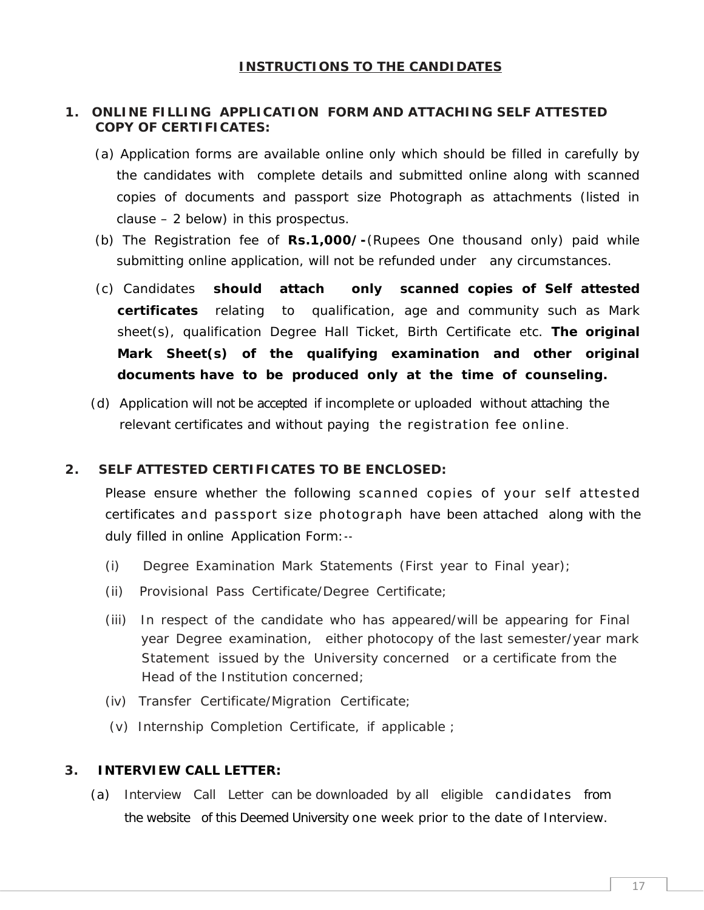- **1. ONLINE FILLING APPLICATION FORM AND ATTACHING SELF ATTESTED COPY OF CERTIFICATES:**
	- (a) Application forms are available online only which should be filled in carefully by the candidates with complete details and submitted online along with scanned copies of documents and passport size Photograph as attachments (listed in clause – 2 below) in this prospectus.
	- (b) The Registration fee of **Rs.1,000/-**(Rupees One thousand only) paid while submitting online application, will not be refunded under any circumstances.
	- (c) Candidates **should attach only scanned copies of Self attested certificates** relating to qualification, age and community such as Mark sheet(s), qualification Degree Hall Ticket, Birth Certificate etc. **The original Mark Sheet(s) of the qualifying examination and other original documents have to be produced only at the time of counseling.**
	- (d) Application will not be accepted if incomplete or uploaded without attaching the relevant certificates and without paying the registration fee online.

#### **2. SELF ATTESTED CERTIFICATES TO BE ENCLOSED:**

relevant certificates and without paying the registration fee online.<br>PLEF ATTESTED CERTIFICATES TO BE ENCLOSED:<br>Please ensure whether the following scanned copies of your self attested<br>certificates and passport size photo ELF ATTESTED CERTIFICATES TO BE ENCLOSED:<br>Please ensure whether the following scanned copies of your self attested<br>certificates and passport size photograph have been attached along with the<br>duly filled in online Applicati duly filled in online Application Form:--

- (i) Degree Examination Mark Statements (First year to Final year);
- (ii) Provisional Pass Certificate/Degree Certificate;
- (iii) In respect of the candidate who has appeared/will be appearing for Final year Degree examination, either photocopy of the last semester/year mark Statement issued by the University concerned or a certificate from the Head of the Institution concerned;
- (iv) Transfer Certificate/Migration Certificate;
- (v) Internship Completion Certificate, if applicable ;

#### **3. INTERVIEW CALL LETTER:**

(a) Interview Call Letter can be downloaded by all eligible candidates from the website of this Deemed University one week prior to the date of Interview.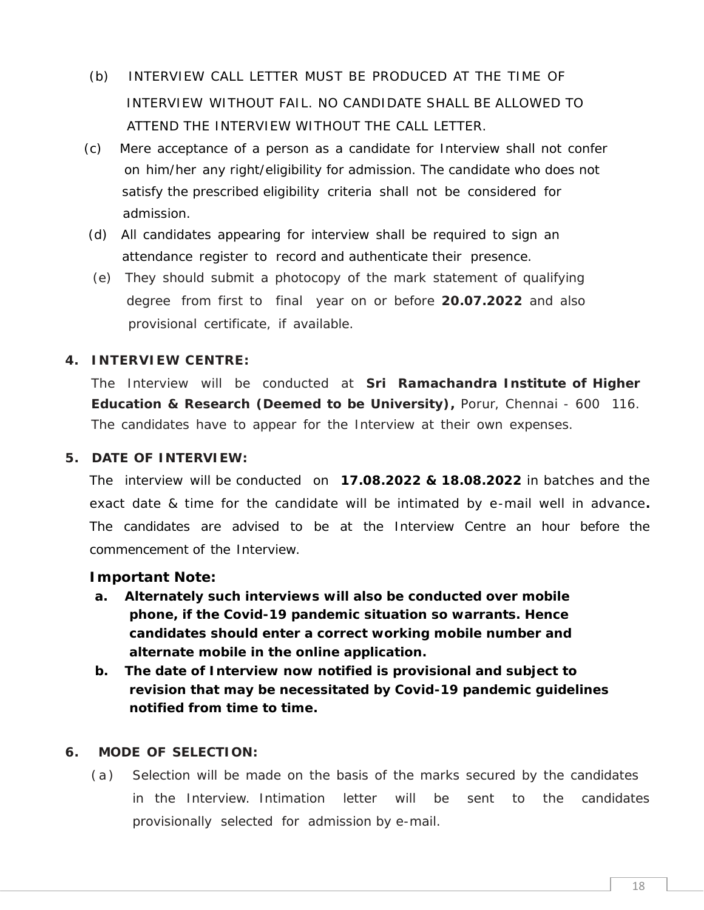- (b) INTERVIEW CALL LETTER MUST BE PRODUCED AT THE TIME OF INTERVIEW WITHOUT FAIL. NO CANDIDATE SHALL BE ALLOWED TO ATTEND THE INTERVIEW WITHOUT THE CALL LETTER.
- (c) Mere acceptance of a person as a candidate for Interview shall not confer on him/her any right/eligibility for admission. The candidate who does not satisfy the prescribed eligibility criteria shall not be considered for admission.
- (d) All candidates appearing for interview shall be required to sign an attendance register to record and authenticate their presence.
- (e) They should submit a photocopy of the mark statement of qualifying degree from first to final year on or before **20.07.2022** and also provisional certificate, if available.

#### **4. INTERVIEW CENTRE:**

The Interview will be conducted at **Sri Ramachandra Institute of Higher Education & Research (Deemed to be University),** Porur, Chennai - 600 116. The candidates have to appear for the Interview at their own expenses.

**5. DATE OF INTERVIEW:**

The interview will be conducted on **17.08.2022 & 18.08.2022** in batches and the exact date & time for the candidate will be intimated by e-mail well in advance**.** The candidates are advised to be at the Interview Centre an hour before the commencement of the Interview.

**Important Note:**

- **a. Alternately such interviews will also be conducted over mobile phone, if the Covid-19 pandemic situation so warrants. Hence candidates should enter a correct working mobile number and alternate mobile in the online application.**
- **b. The date of Interview now notified is provisional and subject to revision that may be necessitated by Covid-19 pandemic guidelines notified from time to time.**
- **6. MODE OF SELECTION:**
- (a) Analytical from time to time.<br>(a) Selection will be made on the basis of the marks secured by the candidates<br>in the Interview. Intimation letter will be sent to the candidates in the Interview. Intimation letter will be sent to the candidates provisionally selected for admission by e-mail.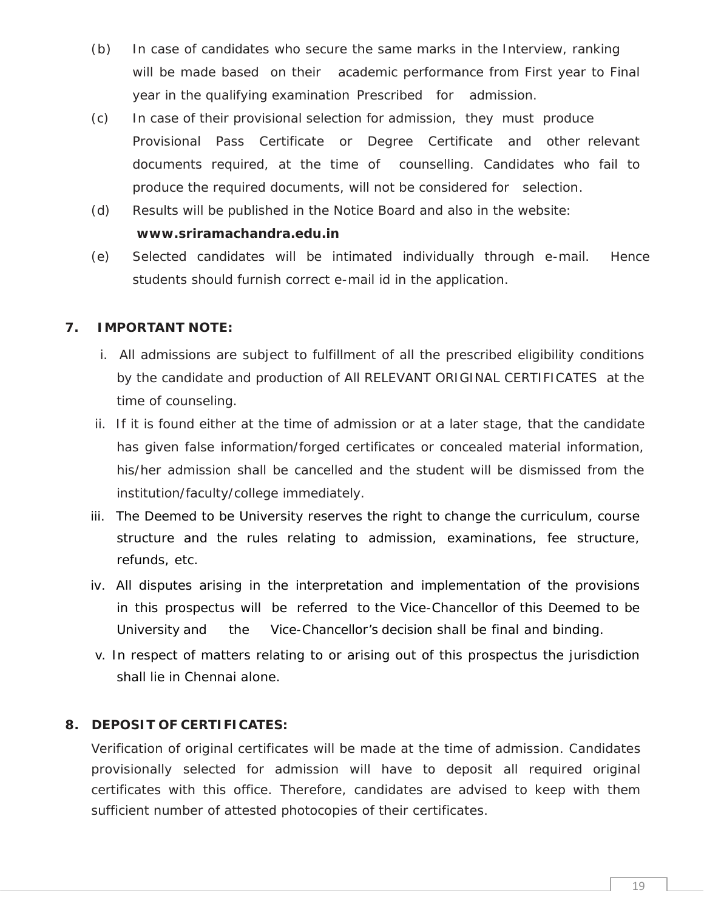- (b) In case of candidates who secure the same marks in the Interview, ranking will be made based on their academic performance from First year to Final year in the qualifying examination Prescribed for admission.
- (c) In case of their provisional selection for admission, they must produce Provisional Pass Certificate or Degree Certificate and other relevant documents required, at the time of counselling. Candidates who fail to produce the required documents, will not be considered for selection.
- (d) Results will be published in the Notice Board and also in the website: **www.sriramachandra.edu.in**
- (e) Selected candidates will be intimated individually through e-mail. Hence students should furnish correct e-mail id in the application.

#### **7. IMPORTANT NOTE:**

- i. All admissions are subject to fulfillment of all the prescribed eligibility conditions by the candidate and production of All RELEVANT ORIGINAL CERTIFICATES at the time of counseling.
- ii. If it is found either at the time of admission or at a later stage, that the candidate has given false information/forged certificates or concealed material information, his/her admission shall be cancelled and the student will be dismissed from the institution/faculty/college immediately.
- iii. The Deemed to be University reserves the right to change the curriculum, course structure and the rules relating to admission, examinations, fee structure, refunds, etc.
- iv. All disputes arising in the interpretation and implementation of the provisions in this prospectus will be referred to the Vice-Chancellor of this Deemed to be University and the Vice-Chancellor's decision shall be final and binding.
- v. In respect of matters relating to or arising out of this prospectus the jurisdiction shall lie in Chennai alone.

#### **8. DEPOSIT OF CERTIFICATES:**

Verification of original certificates will be made at the time of admission. Candidates provisionally selected for admission will have to deposit all required original certificates with this office. Therefore, candidates are advised to keep with them sufficient number of attested photocopies of their certificates.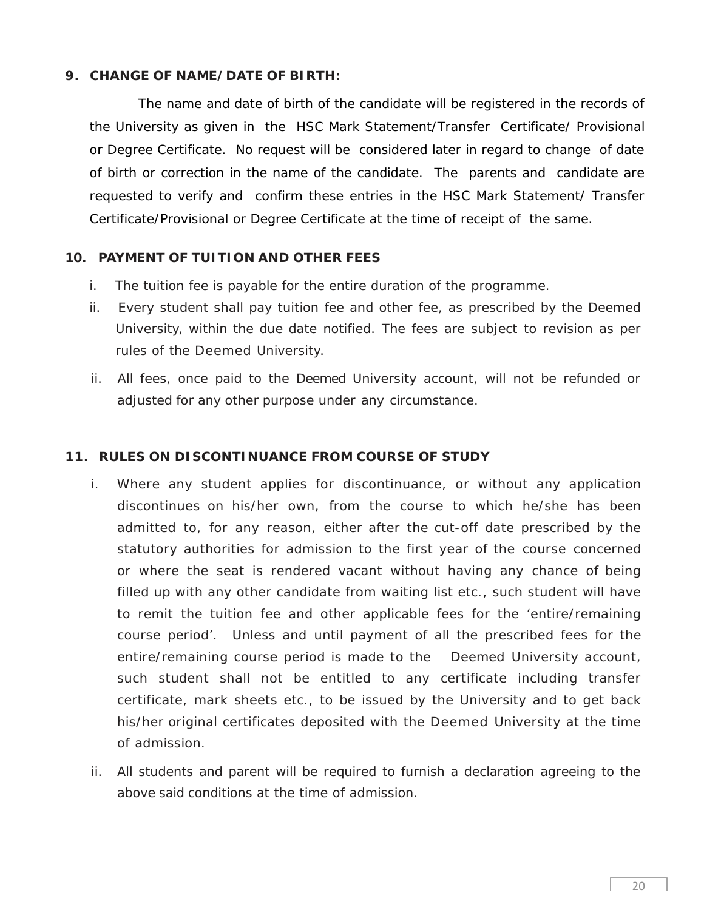#### **9. CHANGE OF NAME/DATE OF BIRTH:**

The name and date of birth of the candidate will be registered in the records of the University as given in the HSC Mark Statement/Transfer Certificate/ Provisional or Degree Certificate. No request will be considered later in regard to change of date of birth or correction in the name of the candidate. The parents and candidate are requested to verify and confirm these entries in the HSC Mark Statement/ Transfer Certificate/Provisional or Degree Certificate at the time of receipt of the same.

#### **10. PAYMENT OF TUITION AND OTHER FEES**

- i. The tuition fee is payable for the entire duration of the programme.
- ii. Every student shall pay tuition fee and other fee, as prescribed by the Deemed University, within the due date notified. The fees are subject to revision as per rules of the Deemed University.
- ii. All fees, once paid to the Deemed University account, will not be refunded or adjusted for any other purpose under any circumstance.

#### **11. RULES ON DISCONTINUANCE FROM COURSE OF STUDY**

- i. Where any student applies for discontinuance, or without any application discontinues on his/her own, from the course to which he/she has been admitted to, for any reason, either after the cut-off date prescribed by the statutory authorities for admission to the first year of the course concerned or where the seat is rendered vacant without having any chance of being filled up with any other candidate from waiting list etc., such student will have to remit the tuition fee and other applicable fees for the 'entire/remaining course period'. Unless and until payment of all the prescribed fees for the entire/remaining course period is made to the Deemed University account, such student shall not be entitled to any certificate including transfer certificate, mark sheets etc., to be issued by the University and to get back his/her original certificates deposited with the Deemed University atthe time of admission.
- ii. All students and parent will be required to furnish a declaration agreeing to the above said conditions at the time of admission.